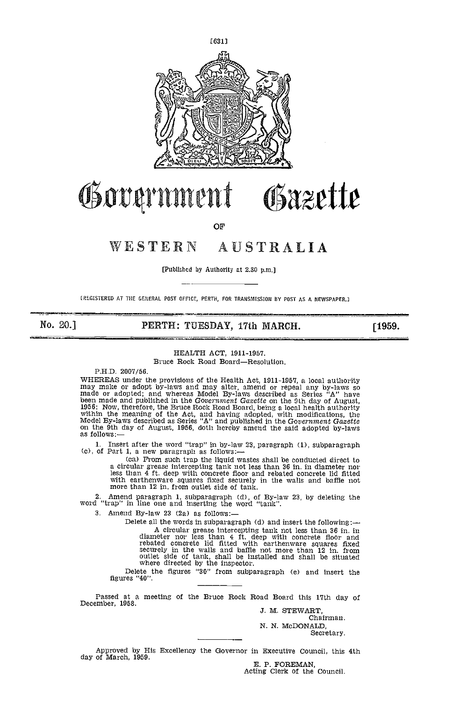

# Government Gazette

**OF** 

# WESTERN AUSTRALIA

[Published by Authority at 2.30 p.m.]

[REGISTERED AT THE GENERAL POST OFFICE, PERTH, FOR TRANSMISSION BY POST AS A NEWSPAPER.]

## No. 20.] **PERTH: TUESDAY, 17th MARCH.** [1959.]

## HEALTH ACT, 2911-1957.

Bruce Rock Road Board-Resolution.

PH.D. 2007/56.

FIRENCES under the provisions of the Health Act, 1911-1957, a local authority<br>may make or adopt by-laws and may alter, amend or repeal any by-laws so<br>made or adopted; and whereas Model By-laws described as Series "A" have<br>

1. Insert after the word "trap" in by-law 23, paragraph (1), subparagraph (c), of Part 1, a new paragraph as follows:—

lea) From such trap the liquid wastes shall be conducted direct to a circular grease intercepting tank not less than 36 in. in diameter nor less than 4 ft. deep with concrete floor and rebated concrete lid fitted with earthenware squares fixed securely in the walls and baffle not more tha

2. Amend paragraph 1, subparagraph  $(d)$ , of By-law 23, by deleting the word "trap" in line one and inserting the word "tank".

3. Amend By-law 23 (2a) as follows:-

Delete all the words in subparagraph (d) and insert the following: A circular grease intercepting tank not less than 36 in. in diameter nor less than 4 ft. deep with concrete floor and rebated concrete lid fitted with earthenware squares fixed securely in the walls and baffle not more than 12 in. from outlet side of tank, shall be installed and shall be situated where directed by the inspector.<br>Delete the figures "30" from subparagraph (e) and insert the

Delete the figures "30" from subparagraph (e) and insert the figures "40".

Passed at a meeting of the Bruce Rock Road Board this 17th day of December, 1958.

J. M. STEWART, Chairman. N. N. McDONALD,

Secretary.

Approved by His Excellency the Governor in Executive Council, this 4th

E. P. FOREMAN,<br>Acting Clerk of the Council.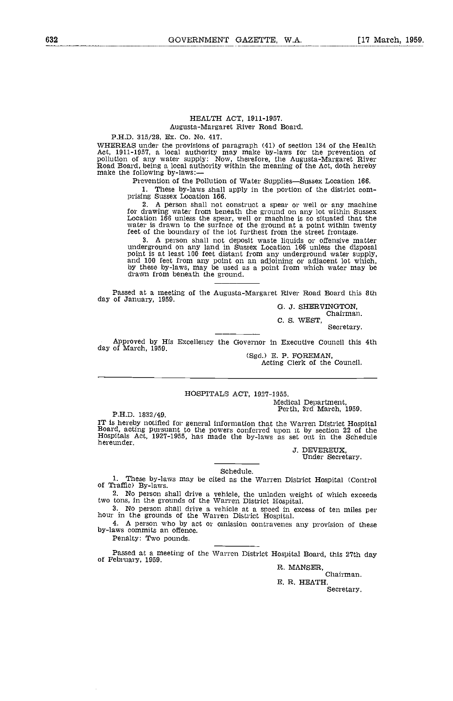#### HEALTH ACT, 1911-1957.

## Augusta-Margaret River Road Board.

P.H.D. 315/28, Ex. Co. No. 417.

WHEREAS under the provisions of paragraph (41) of section 134 of the Health Act, 1911-1957, a local authority may make by-laws for the prevention of pollution of any water supply: Now, therefore, the Augusta-Margaret River

Prevention of the Pollution of Water Supplies-Sussex Location 166.

These by-laws shall apply in the portion of the district com- prising Sussex Location 166.

A person shall not construct a spear or well or any machine for drawing water from beneath the ground on any lot within Sussex Location 166 unless the spear, well or machine is so situated that the water is drawn to the surface of the ground at a point within twenty feet of the boundary of the lot furthest from the street frontage.

1000 of the boundary of the for funtalest from the street fromtage.<br>
3. A person shall not deposit waste liquids or offensive matter<br>
underground on any land in Sussex Location 166 unless the disposal<br>
point is at least 10

Passed at a meeting of the Augusta-Margaret River Road Board this 8th day of January, 1959.

G. J. SHERVINGTON, Chairman.

C. S. WEST, Secretary.

Approved by His Excellency the Governor in Executive Council this 4th day of March, 1959.

(Sgd.) E. P. FOREMAN, Acting Clerk of the Council.

# HOSPITALS ACT, 1927-1955.

P.H.D. 1832/49.<br>IT is hereby notified for general information that the Warren District Hospital IT is hereby notified for general information that the Warren District Hospital<br>Board, acting pursuant to the powers conferred upon it by section 22 of the<br>Hospitals Act, 1927-1955, has made the by-laws as set out in the S

J. DEVEREUX, Under Secretary.

#### Schedule.

These by-laws may be cited as the Warren District Hospital (Control of Traffic) By-laws.

No person shall drive a vehicle, the unladen weight of which exceeds two tons, in the grounds of the Warren District Hospital.

No person shall drive a vehicle at a speed in excess of ten miles per hour in the grounds of the Warren District Hospital.

A person who by act or omission contravenes any provision of these by-laws commits an offence.

Penalty: Two pounds.

Passed at a meeting of the Warren District Hospital Board, this 27th day of February, 1959. R. MANSER, Chairman.

E. R. HEATH.

Secretary.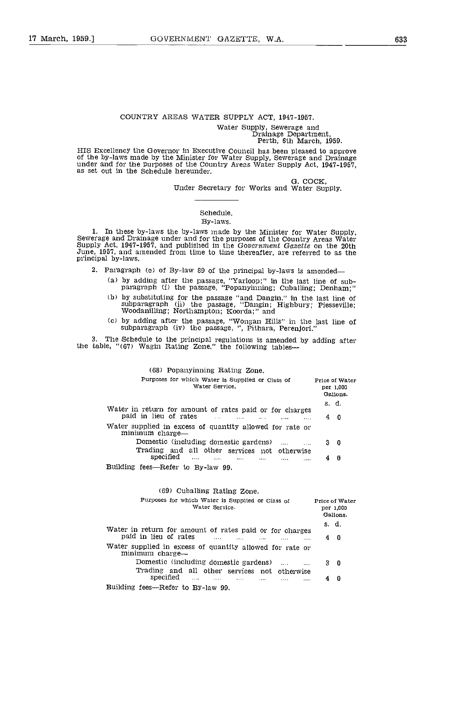## COUNTRY AREAS WATER SUPPLY ACT, 1947-1957.

Water Supply, Sewerage and Drainage Department, Perth, 6th March, 1959.

HIS Excellency the Governor in Executive Council has been pleased to approve of the by-laws made by the Minister for Water Supply, Sewerage and Drainage under and for the purposes of the Country Areas Water Supply Act, 194

0. COCK, Under Secretary for Works and Water Supply.

## Schedule.

## By-laws.

1. In these by-laws the by-laws made by the Minister for Water Supply, Sewerage and Drainage under and for the purposes of the Country Areas Water Supply Act, 1947-1957, and published in the Government Gazette on the 20th June, 1957, and amended from time to time thereafter, are referred to as the principal by-laws.

2. Paragraph (e) of By-law 89 of the principal by-laws is amended

- by adding after the passage, "Yarloop;" in the last line of sub- paragraph (i) the passage, "Popanyinning; Cuballing; Denham;"
- (b) by substituting for the passage "and Dangin." in the last line of subparagraph (ii) the passage, "Dangin; Highbury; Piesseville; Woodanilling; Northampton; Koorda;" and
- by adding after the passage, "Wongan Hills" in the last line of subparagraph (iv) the passage, ", Pithara, Perenjori."

3. The Schedule to the principal regulations is amended by adding after the table, "(67) Wagin Rating Zone," the following tables

## Building fees-Refer to By-law 99. (68) Popanyinning Rating Zone. Purposes for which Water is Supplied or Class of Price of Water Water Service, per 1.000 Gallons. 5. d. Water in return for amount of rates paid or for charges paid in lieu of rates -. .. .... .... <sup>4</sup> <sup>0</sup> Water supplied in excess of quantity allowed for rate or minimum charge— Domestic (including domestic gardens) .... .... 3 0 Trading and all other services not otherwise specified .... ....

## (69) Cuballing Rating Zone.

| Purposes for which Water is Supplied or Class of<br>Water Service.                                                        |       | Price of Water<br>per 1,000<br>Gallons. |
|---------------------------------------------------------------------------------------------------------------------------|-------|-----------------------------------------|
|                                                                                                                           | s. d. |                                         |
| Water in return for amount of rates paid or for charges<br>paid in lieu of rates<br><b>Contractor</b><br>$\mathbf{r}$<br> | 40    |                                         |
| Water supplied in excess of quantity allowed for rate or<br>minimum charge—                                               |       |                                         |
| Domestic (including domestic gardens)<br>$\cdots$                                                                         | 30    |                                         |
| Trading and all other services not otherwise                                                                              |       |                                         |
| specified<br>and the state of the state of<br>and the second contract of the second                                       |       | - 0                                     |
| Building fees—Refer to By-law 99.                                                                                         |       |                                         |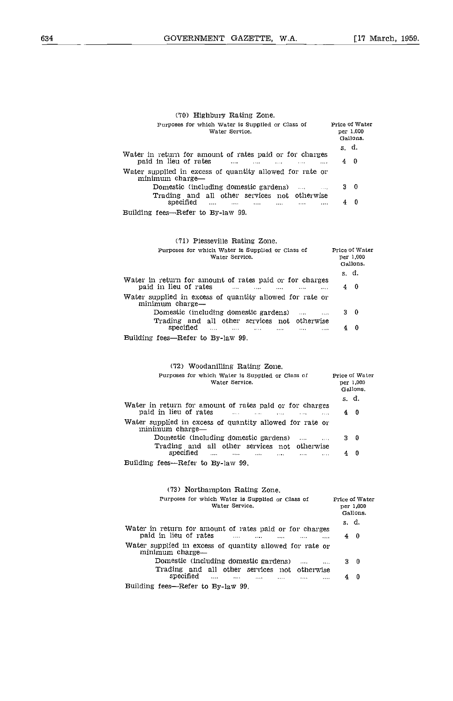| (70) Highbury Rating Zone.                                                                                                                                       |             |                                         |
|------------------------------------------------------------------------------------------------------------------------------------------------------------------|-------------|-----------------------------------------|
| Purposes for which Water is Supplied or Class of<br>Water Service.                                                                                               |             | Price of Water<br>per 1,000<br>Gallons. |
|                                                                                                                                                                  | s. d.       |                                         |
| Water in return for amount of rates paid or for charges<br>paid in lieu of rates<br>and a<br>$\ldots$<br>$\sim 100$<br>$\sim 100$                                | $4 \quad 0$ |                                         |
| Water supplied in excess of quantity allowed for rate or<br>minimum charge—                                                                                      |             |                                         |
| Domestic (including domestic gardens)<br>$\sim$ $\sim$ $\sim$<br>$\cdots$                                                                                        |             | 30                                      |
| Trading and all other services not otherwise<br>specified<br>$\cdots$<br>$\cdots$<br>$\cdots$<br>$\cdots$<br>$\cdots$<br>$\cdots$                                |             | $4\quad 0$                              |
| Building fees—Refer to By-law 99.                                                                                                                                |             |                                         |
| (71) Piesseville Rating Zone.                                                                                                                                    |             |                                         |
| Purposes for which Water is Supplied or Class of<br>Water Service.                                                                                               |             | Price of Water<br>per 1,000<br>Gallons. |
|                                                                                                                                                                  |             | s. d.                                   |
| Water in return for amount of rates paid or for charges<br>paid in lieu of rates<br>and the same<br><b>Carried</b><br>$\sim$ 100 $\sim$<br>$\mathbf{1}$          |             | $4 \quad 0$                             |
| Water supplied in excess of quantity allowed for rate or<br>minimum charge-                                                                                      |             |                                         |
| Domestic (including domestic gardens)<br>$\ldots$<br>$\cdots$<br>Trading and all other services not otherwise                                                    |             | 30                                      |
| specified<br><b>Contract</b><br>$\sim$ $\sim$ $\sim$<br>$\cdots$<br>$\cdots$<br>$\cdots$<br>$\cdots$                                                             | 4           | 0                                       |
| Building fees—Refer to By-law 99.                                                                                                                                |             |                                         |
|                                                                                                                                                                  |             |                                         |
| (72) Woodanilling Rating Zone.                                                                                                                                   |             |                                         |
| Purposes for which Water is Supplied or Class of<br>Water Service.                                                                                               |             | Price of Water<br>per 1,000<br>Gallons. |
|                                                                                                                                                                  |             | s. d.                                   |
| Water in return for amount of rates paid or for charges<br>paid in lieu of rates<br><b>Alban</b><br>$\sim 10^{-1}$<br>$\mathbf{1}$<br>$\sim 100$<br>$\mathbf{r}$ | 4           | $\overline{0}$                          |
| Water supplied in excess of quantity allowed for rate or<br>minimum charge—                                                                                      |             |                                         |
| Domestic (including domestic gardens)<br>$\cdots$<br>$\cdots$                                                                                                    | 3           | 0                                       |
| Trading and all other services not<br>otherwise<br>specified<br>$\cdots$<br>$\cdots$<br>$\cdots$<br>$\cdots$<br>$\cdots$<br>$\cdots$                             | 4           | $\overline{\phantom{a}}$                |
| Building fees—Refer to By-law 99.                                                                                                                                |             |                                         |
|                                                                                                                                                                  |             |                                         |
| (73) Northampton Rating Zone.                                                                                                                                    |             |                                         |
| Purposes for which Water is Supplied or Class of<br>Water Service.                                                                                               |             | Price of Water<br>per 1,000<br>Gallons. |
|                                                                                                                                                                  |             | s. d.                                   |
| Water in return for amount of rates paid or for charges<br>paid in lieu of rates<br>.<br>$\cdots$<br>$\ldots$<br>$\overline{1}$<br>$\cdots$                      | 4           | 0                                       |
| Water supplied in excess of quantity allowed for rate or<br>minimum charge-                                                                                      |             |                                         |
| Domestic (including domestic gardens)<br>$\cdots$<br>$\cdots$                                                                                                    | 3           | 0                                       |
| Trading and all other services not otherwise<br>specified<br>$\cdots$<br>.<br>$\cdots$<br>.<br>$\cdots$<br>                                                      | 4           | $\bf{0}$                                |

Building fees-Refer to By-law 99.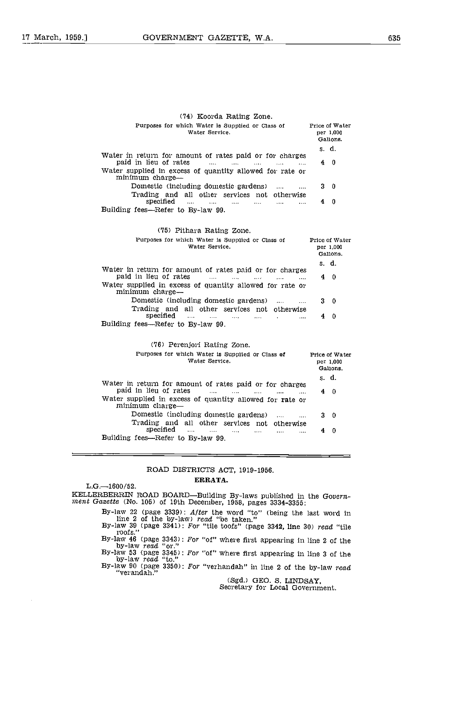| (74) Koorda Rating Zone.                                                                                                                                                                                             |   |                                         |
|----------------------------------------------------------------------------------------------------------------------------------------------------------------------------------------------------------------------|---|-----------------------------------------|
| Purposes for which Water is Supplied or Class of<br>Water Service.                                                                                                                                                   |   | Price of Water<br>per 1,000<br>Gallons. |
|                                                                                                                                                                                                                      |   | s. d.                                   |
| Water in return for amount of rates paid or for charges<br>paid in lieu of rates<br>$\sim$ $\sim$ $\sim$<br>$\cdots$<br>$\cdots$<br>$\cdots$<br>$\cdots$<br>Water supplied in excess of quantity allowed for rate or |   | 40                                      |
| minimum charge-<br>Domestic (including domestic gardens)<br>$\cdots$<br>$\cdots$<br>Trading and all other services not otherwise                                                                                     |   | 30                                      |
| specified<br>$\cdots$<br>$\sim$ 1000 $\sim$<br>$\cdots$<br>Building fees-Refer to By-law 99.                                                                                                                         | 4 | 0                                       |
| (75) Pithara Rating Zone.                                                                                                                                                                                            |   |                                         |
| Purposes for which Water is Supplied or Class of<br>Water Service.                                                                                                                                                   |   | Price of Water<br>per 1,000<br>Gallons. |
|                                                                                                                                                                                                                      |   | s. d.                                   |
| Water in return for amount of rates paid or for charges<br>paid in lieu of rates<br><b>Contract Contract</b><br><b>Service</b> Contractor<br>$\cdots$                                                                |   | 40                                      |
| Water supplied in excess of quantity allowed for rate or<br>minimum charge-                                                                                                                                          |   |                                         |
| Domestic (including domestic gardens)<br>$\cdots$<br>Trading and all other services not otherwise                                                                                                                    |   | 30                                      |
| specified<br>$\sim$ 100 $\sim$<br>$\cdots$<br>Building fees-Refer to By-law 99.                                                                                                                                      | 4 | $\Omega$                                |
|                                                                                                                                                                                                                      |   |                                         |
| (76) Perenjori Rating Zone.                                                                                                                                                                                          |   |                                         |
| Purposes for which Water is Supplied or Class of<br>Water Service.                                                                                                                                                   |   | Price of Water<br>per 1,000<br>Gallons. |
|                                                                                                                                                                                                                      |   | s. d.                                   |
| Water in return for amount of rates paid or for charges<br>paid in lieu of rates<br>$\sim$ $\sim$ $\sim$<br>1.111<br>$\sim$ $\sim$ $\sim$                                                                            |   | 40                                      |
| Water supplied in excess of quantity allowed for rate or<br>minimum charge-                                                                                                                                          |   |                                         |
| Domestic (including domestic gardens)<br>$\cdots$                                                                                                                                                                    |   | 30                                      |
| Trading and all other services not otherwise<br>specified<br>$\cdots$<br>$\cdots$<br>$\cdots$<br>1.1.1<br>$\cdots$                                                                                                   | 4 | $\bf{0}$                                |

Building fees-Refer to By-law 99.

## ROAD DISTRICTS ACT, 1919-1956.

## ERRATA.

L.G.-1600/52. KELLERBERRIN ROAD BOARD—Building By-laws published in the Govern-<br>ment Gazette (No. 105) of 19th December, 1958, pages 3334-3355: By-law 22 (page 3339): After the word "to" (being the last word in line 2 of the by-law) read "be taken."<br>By-law 39 (page 3341): For "tile toofs" (page 3342, line 30) read "tile<br>roofs." By-law 46 (page 3343): For "of" where first appearing in line 2 of the<br>by-law read "or."<br>By-law 53 (page 3345): For "of" where first appearing in line 3 of the<br>by-law read "to."<br>By-law 90 (page 3350): For "verhandah" in l

(Sgd.) GEO. S. LINDSAY, Secretary for Local Government.